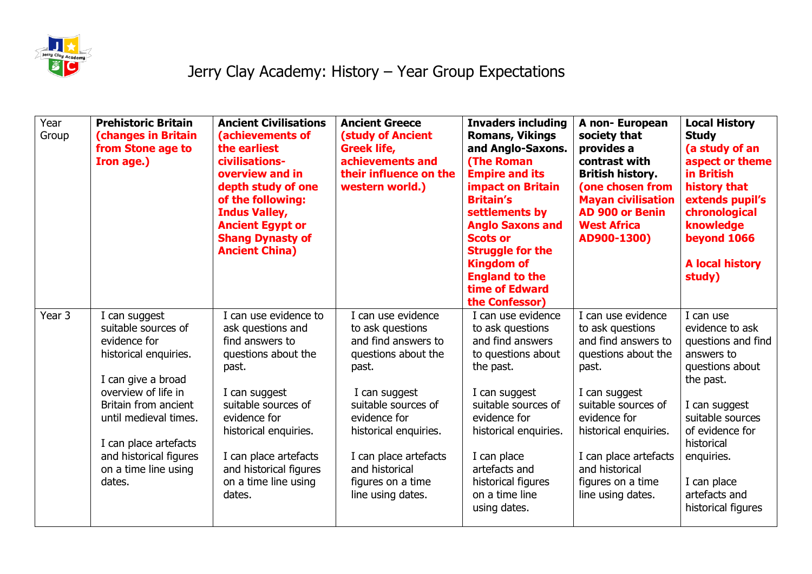

## Jerry Clay Academy: History – Year Group Expectations

| Year<br>Group | <b>Prehistoric Britain</b><br><b>(changes in Britain</b><br>from Stone age to<br>Iron age.)   | <b>Ancient Civilisations</b><br>(achievements of<br>the earliest<br>civilisations-<br>overview and in<br>depth study of one<br>of the following:<br><b>Indus Valley,</b><br><b>Ancient Egypt or</b><br><b>Shang Dynasty of</b><br><b>Ancient China)</b> | <b>Ancient Greece</b><br><b>(study of Ancient</b><br><b>Greek life,</b><br>achievements and<br>their influence on the<br>western world.) | <b>Invaders including</b><br><b>Romans, Vikings</b><br>and Anglo-Saxons.<br><b>(The Roman</b><br><b>Empire and its</b><br><b>impact on Britain</b><br><b>Britain's</b><br>settlements by<br><b>Anglo Saxons and</b><br><b>Scots or</b><br><b>Struggle for the</b><br><b>Kingdom of</b><br><b>England to the</b><br>time of Edward<br>the Confessor) | A non-European<br>society that<br>provides a<br>contrast with<br><b>British history.</b><br>(one chosen from<br><b>Mayan civilisation</b><br><b>AD 900 or Benin</b><br><b>West Africa</b><br>AD900-1300) | <b>Local History</b><br><b>Study</b><br>(a study of an<br>aspect or theme<br>in British<br>history that<br>extends pupil's<br>chronological<br>knowledge<br>beyond 1066<br><b>A local history</b><br>study) |
|---------------|-----------------------------------------------------------------------------------------------|---------------------------------------------------------------------------------------------------------------------------------------------------------------------------------------------------------------------------------------------------------|------------------------------------------------------------------------------------------------------------------------------------------|-----------------------------------------------------------------------------------------------------------------------------------------------------------------------------------------------------------------------------------------------------------------------------------------------------------------------------------------------------|----------------------------------------------------------------------------------------------------------------------------------------------------------------------------------------------------------|-------------------------------------------------------------------------------------------------------------------------------------------------------------------------------------------------------------|
| Year 3        | I can suggest<br>suitable sources of                                                          | I can use evidence to<br>ask questions and                                                                                                                                                                                                              | I can use evidence<br>to ask questions                                                                                                   | I can use evidence<br>to ask questions                                                                                                                                                                                                                                                                                                              | I can use evidence<br>to ask questions                                                                                                                                                                   | I can use<br>evidence to ask                                                                                                                                                                                |
|               | evidence for<br>historical enquiries.                                                         | find answers to<br>questions about the<br>past.                                                                                                                                                                                                         | and find answers to<br>questions about the<br>past.                                                                                      | and find answers<br>to questions about<br>the past.                                                                                                                                                                                                                                                                                                 | and find answers to<br>questions about the<br>past.                                                                                                                                                      | questions and find<br>answers to<br>questions about                                                                                                                                                         |
|               | I can give a broad                                                                            |                                                                                                                                                                                                                                                         |                                                                                                                                          |                                                                                                                                                                                                                                                                                                                                                     |                                                                                                                                                                                                          | the past.                                                                                                                                                                                                   |
|               | overview of life in<br>Britain from ancient<br>until medieval times.<br>I can place artefacts | I can suggest<br>suitable sources of<br>evidence for<br>historical enquiries.                                                                                                                                                                           | I can suggest<br>suitable sources of<br>evidence for<br>historical enquiries.                                                            | I can suggest<br>suitable sources of<br>evidence for<br>historical enquiries.                                                                                                                                                                                                                                                                       | I can suggest<br>suitable sources of<br>evidence for<br>historical enquiries.                                                                                                                            | I can suggest<br>suitable sources<br>of evidence for<br>historical                                                                                                                                          |
|               | and historical figures<br>on a time line using                                                | I can place artefacts<br>and historical figures                                                                                                                                                                                                         | I can place artefacts<br>and historical                                                                                                  | I can place<br>artefacts and                                                                                                                                                                                                                                                                                                                        | I can place artefacts<br>and historical                                                                                                                                                                  | enquiries.                                                                                                                                                                                                  |
|               | dates.                                                                                        | on a time line using<br>dates.                                                                                                                                                                                                                          | figures on a time<br>line using dates.                                                                                                   | historical figures<br>on a time line<br>using dates.                                                                                                                                                                                                                                                                                                | figures on a time<br>line using dates.                                                                                                                                                                   | I can place<br>artefacts and<br>historical figures                                                                                                                                                          |